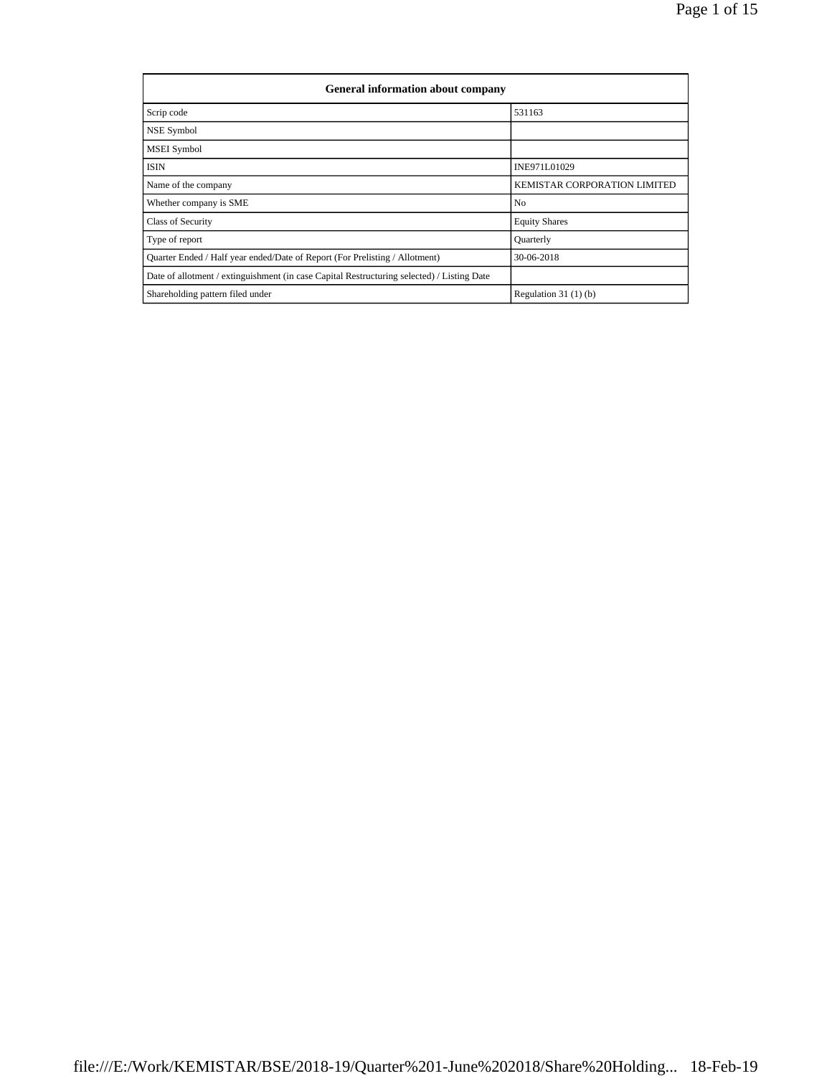| <b>General information about company</b>                                                   |                              |  |  |  |  |  |  |  |
|--------------------------------------------------------------------------------------------|------------------------------|--|--|--|--|--|--|--|
| Scrip code                                                                                 | 531163                       |  |  |  |  |  |  |  |
| <b>NSE Symbol</b>                                                                          |                              |  |  |  |  |  |  |  |
| <b>MSEI</b> Symbol                                                                         |                              |  |  |  |  |  |  |  |
| <b>ISIN</b>                                                                                | INE971L01029                 |  |  |  |  |  |  |  |
| Name of the company                                                                        | KEMISTAR CORPORATION LIMITED |  |  |  |  |  |  |  |
| Whether company is SME                                                                     | N <sub>o</sub>               |  |  |  |  |  |  |  |
| <b>Class of Security</b>                                                                   | <b>Equity Shares</b>         |  |  |  |  |  |  |  |
| Type of report                                                                             | Ouarterly                    |  |  |  |  |  |  |  |
| Quarter Ended / Half year ended/Date of Report (For Prelisting / Allotment)                | 30-06-2018                   |  |  |  |  |  |  |  |
| Date of allotment / extinguishment (in case Capital Restructuring selected) / Listing Date |                              |  |  |  |  |  |  |  |
| Shareholding pattern filed under                                                           | Regulation $31(1)(b)$        |  |  |  |  |  |  |  |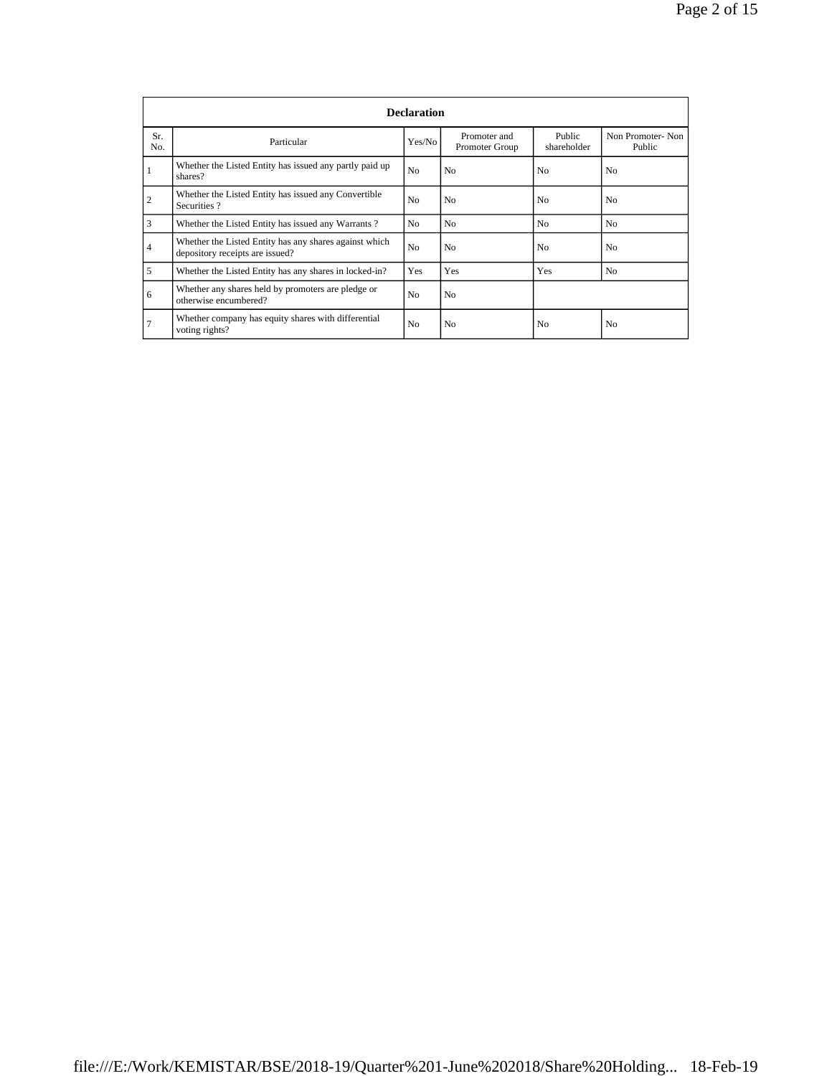|                | <b>Declaration</b>                                                                        |                |                                |                       |                            |  |  |  |  |  |
|----------------|-------------------------------------------------------------------------------------------|----------------|--------------------------------|-----------------------|----------------------------|--|--|--|--|--|
| Sr.<br>No.     | Particular                                                                                | Yes/No         | Promoter and<br>Promoter Group | Public<br>shareholder | Non Promoter-Non<br>Public |  |  |  |  |  |
|                | Whether the Listed Entity has issued any partly paid up<br>shares?                        | N <sub>0</sub> | N <sub>0</sub>                 | N <sub>0</sub>        | No                         |  |  |  |  |  |
| $\overline{2}$ | Whether the Listed Entity has issued any Convertible<br>Securities?                       | N <sub>o</sub> | N <sub>0</sub>                 | N <sub>0</sub>        | No                         |  |  |  |  |  |
| 3              | Whether the Listed Entity has issued any Warrants?                                        | N <sub>0</sub> | N <sub>0</sub>                 | N <sub>0</sub>        | No.                        |  |  |  |  |  |
| $\overline{4}$ | Whether the Listed Entity has any shares against which<br>depository receipts are issued? | N <sub>o</sub> | N <sub>o</sub>                 | N <sub>o</sub>        | No.                        |  |  |  |  |  |
| 5              | Whether the Listed Entity has any shares in locked-in?                                    | Yes            | Yes                            | Yes                   | N <sub>o</sub>             |  |  |  |  |  |
| 6              | Whether any shares held by promoters are pledge or<br>otherwise encumbered?               | N <sub>0</sub> | N <sub>o</sub>                 |                       |                            |  |  |  |  |  |
| $\overline{7}$ | Whether company has equity shares with differential<br>voting rights?                     | N <sub>o</sub> | N <sub>0</sub>                 | N <sub>o</sub>        | No                         |  |  |  |  |  |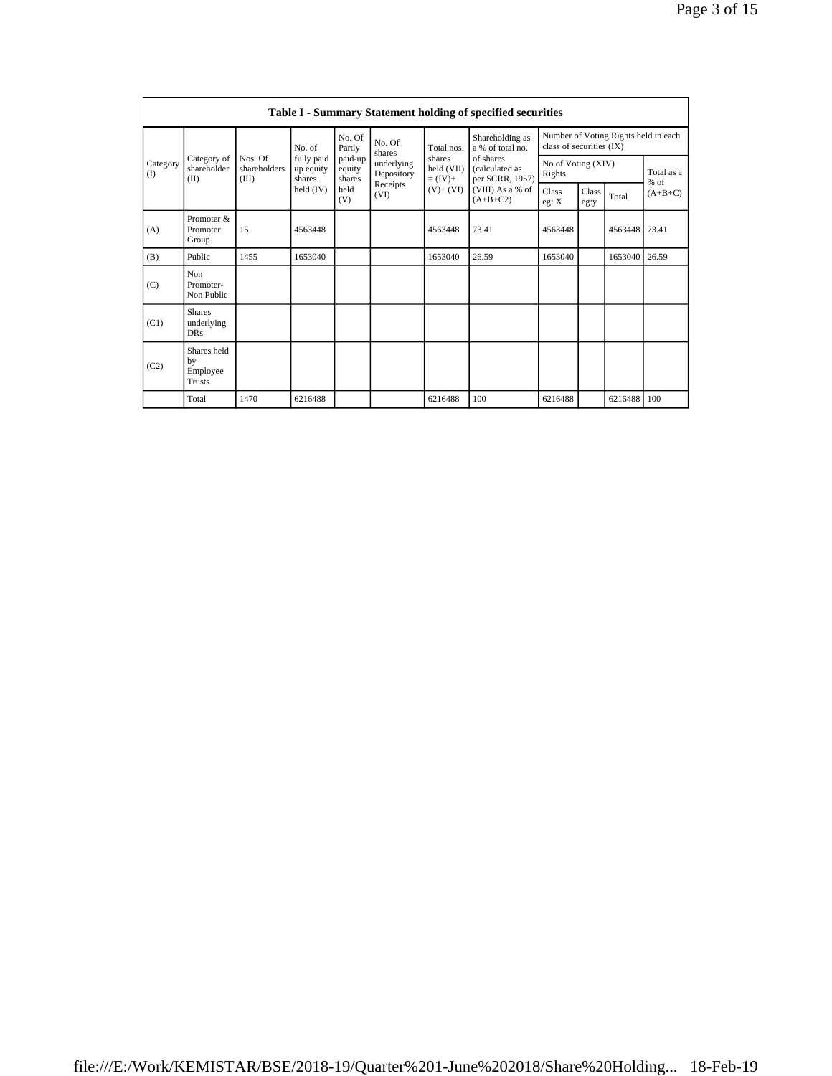|                   | <b>Table I - Summary Statement holding of specified securities</b> |                                                                            |                                   |                             |                          |                                  |                                                                                       |                                                                  |  |                      |       |
|-------------------|--------------------------------------------------------------------|----------------------------------------------------------------------------|-----------------------------------|-----------------------------|--------------------------|----------------------------------|---------------------------------------------------------------------------------------|------------------------------------------------------------------|--|----------------------|-------|
|                   |                                                                    |                                                                            | No. of                            | No. Of<br>Partly            | No. Of<br>shares         | Total nos.                       | Shareholding as<br>a % of total no.<br>of shares<br>(calculated as<br>per SCRR, 1957) | Number of Voting Rights held in each<br>class of securities (IX) |  |                      |       |
| Category<br>$($ I | Category of<br>shareholder<br>(II)                                 | Nos. Of<br>shareholders<br>(III)                                           | fully paid<br>up equity<br>shares | paid-up<br>equity<br>shares | underlying<br>Depository | shares<br>held (VII)<br>$=(IV)+$ |                                                                                       | No of Voting (XIV)<br>Rights                                     |  | Total as a<br>$%$ of |       |
|                   |                                                                    | Receipts<br>held<br>$(V)+(VI)$<br>held $(IV)$<br>(VI)<br>$(A+B+C2)$<br>(V) | (VIII) As a % of                  | <b>Class</b><br>eg: $X$     | <b>Class</b><br>eg:y     | Total                            | $(A+B+C)$                                                                             |                                                                  |  |                      |       |
| (A)               | Promoter &<br>Promoter<br>Group                                    | 15                                                                         | 4563448                           |                             |                          | 4563448                          | 73.41                                                                                 | 4563448                                                          |  | 4563448              | 73.41 |
| (B)               | Public                                                             | 1455                                                                       | 1653040                           |                             |                          | 1653040                          | 26.59                                                                                 | 1653040                                                          |  | 1653040              | 26.59 |
| (C)               | <b>Non</b><br>Promoter-<br>Non Public                              |                                                                            |                                   |                             |                          |                                  |                                                                                       |                                                                  |  |                      |       |
| (C1)              | <b>Shares</b><br>underlying<br><b>DRs</b>                          |                                                                            |                                   |                             |                          |                                  |                                                                                       |                                                                  |  |                      |       |
| (C2)              | Shares held<br>by<br>Employee<br>Trusts                            |                                                                            |                                   |                             |                          |                                  |                                                                                       |                                                                  |  |                      |       |
|                   | Total                                                              | 1470                                                                       | 6216488                           |                             |                          | 6216488                          | 100                                                                                   | 6216488                                                          |  | 6216488              | 100   |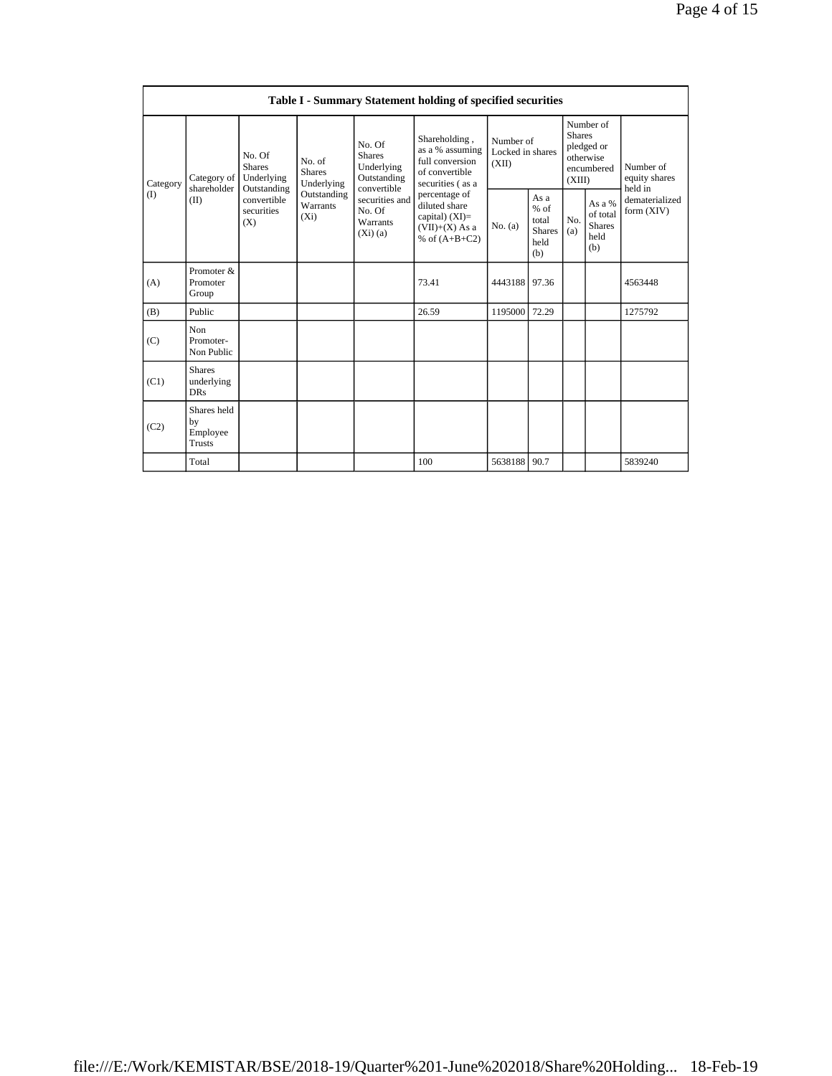|                          | Table I - Summary Statement holding of specified securities |                                                                                                                                |                         |                                                                                                                           |                                                                                                                                                                                         |                                        |                                                         |                                                                               |                                                    |                                       |  |
|--------------------------|-------------------------------------------------------------|--------------------------------------------------------------------------------------------------------------------------------|-------------------------|---------------------------------------------------------------------------------------------------------------------------|-----------------------------------------------------------------------------------------------------------------------------------------------------------------------------------------|----------------------------------------|---------------------------------------------------------|-------------------------------------------------------------------------------|----------------------------------------------------|---------------------------------------|--|
| Category<br>$($ $\Gamma$ | Category of<br>shareholder<br>(II)                          | No. Of<br>No. of<br><b>Shares</b><br><b>Shares</b><br>Underlying<br>Outstanding<br>convertible<br>securities<br>$(X_i)$<br>(X) | Underlying              | No. Of<br><b>Shares</b><br>Underlying<br>Outstanding<br>convertible<br>securities and<br>No. Of<br>Warrants<br>$(X_i)(a)$ | Shareholding,<br>as a % assuming<br>full conversion<br>of convertible<br>securities (as a<br>percentage of<br>diluted share<br>capital) $(XI)$ =<br>$(VII)+(X)$ As a<br>% of $(A+B+C2)$ | Number of<br>Locked in shares<br>(XII) |                                                         | Number of<br><b>Shares</b><br>pledged or<br>otherwise<br>encumbered<br>(XIII) |                                                    | Number of<br>equity shares<br>held in |  |
|                          |                                                             |                                                                                                                                | Outstanding<br>Warrants |                                                                                                                           |                                                                                                                                                                                         | No. (a)                                | As a<br>$%$ of<br>total<br><b>Shares</b><br>held<br>(b) | No.<br>(a)                                                                    | As a %<br>of total<br><b>Shares</b><br>held<br>(b) | dematerialized<br>form $(XIV)$        |  |
| (A)                      | Promoter &<br>Promoter<br>Group                             |                                                                                                                                |                         |                                                                                                                           | 73.41                                                                                                                                                                                   | 4443188 97.36                          |                                                         |                                                                               |                                                    | 4563448                               |  |
| (B)                      | Public                                                      |                                                                                                                                |                         |                                                                                                                           | 26.59                                                                                                                                                                                   | 1195000                                | 72.29                                                   |                                                                               |                                                    | 1275792                               |  |
| (C)                      | Non<br>Promoter-<br>Non Public                              |                                                                                                                                |                         |                                                                                                                           |                                                                                                                                                                                         |                                        |                                                         |                                                                               |                                                    |                                       |  |
| (C1)                     | <b>Shares</b><br>underlying<br>DR <sub>S</sub>              |                                                                                                                                |                         |                                                                                                                           |                                                                                                                                                                                         |                                        |                                                         |                                                                               |                                                    |                                       |  |
| (C2)                     | Shares held<br>by<br>Employee<br><b>Trusts</b>              |                                                                                                                                |                         |                                                                                                                           |                                                                                                                                                                                         |                                        |                                                         |                                                                               |                                                    |                                       |  |
|                          | Total                                                       |                                                                                                                                |                         |                                                                                                                           | 100                                                                                                                                                                                     | 5638188 90.7                           |                                                         |                                                                               |                                                    | 5839240                               |  |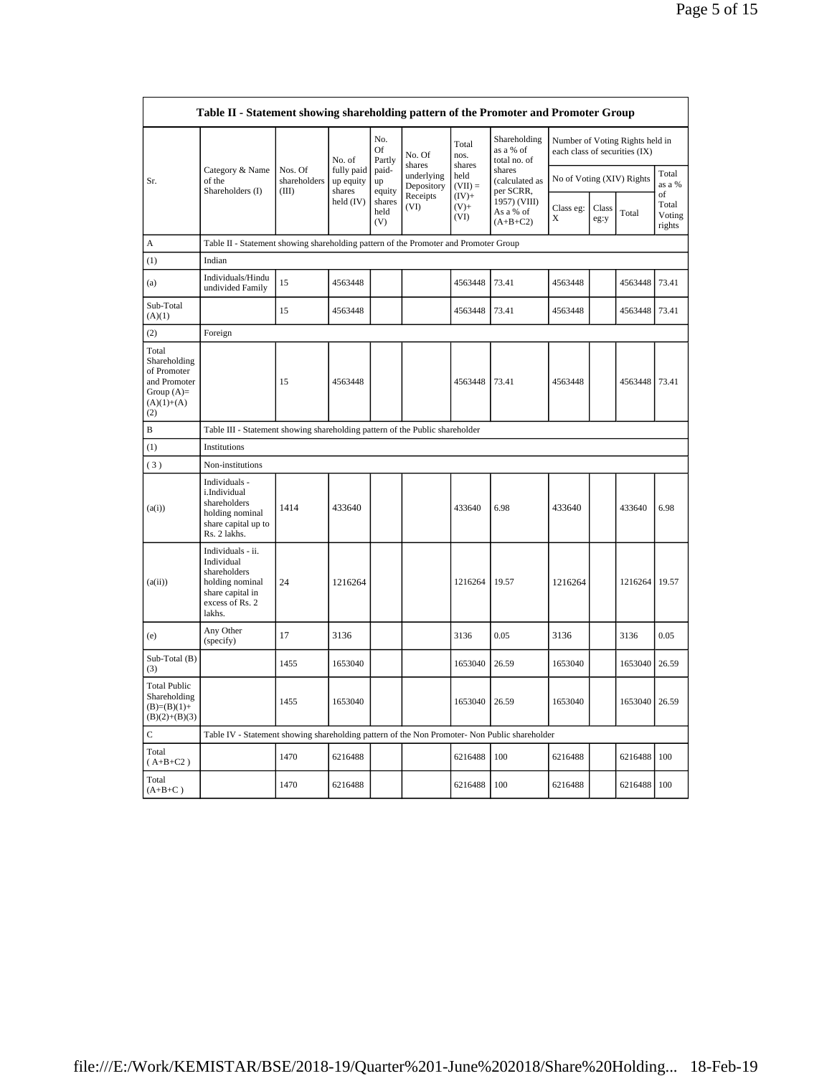|                                                                                             | Table II - Statement showing shareholding pattern of the Promoter and Promoter Group                                |                                                                              |                                   |                       |                          |                            |                                                                                                               |                           |               |                 |                                 |
|---------------------------------------------------------------------------------------------|---------------------------------------------------------------------------------------------------------------------|------------------------------------------------------------------------------|-----------------------------------|-----------------------|--------------------------|----------------------------|---------------------------------------------------------------------------------------------------------------|---------------------------|---------------|-----------------|---------------------------------|
|                                                                                             |                                                                                                                     |                                                                              | No. of                            | No.<br>Of<br>Partly   | No. Of<br>shares         | Total<br>nos.<br>shares    | Shareholding<br>Number of Voting Rights held in<br>as a % of<br>each class of securities (IX)<br>total no. of |                           |               |                 |                                 |
| Sr.                                                                                         | Category & Name<br>of the<br>Shareholders (I)                                                                       | Nos. Of<br>shareholders<br>(III)                                             | fully paid<br>up equity<br>shares | paid-<br>up<br>equity | underlying<br>Depository | held<br>$(VII) =$          | shares<br>(calculated as<br>per SCRR,                                                                         | No of Voting (XIV) Rights |               | Total<br>as a % |                                 |
|                                                                                             |                                                                                                                     |                                                                              | held $(IV)$                       | shares<br>held<br>(V) | Receipts<br>(VI)         | $(IV)+$<br>$(V)$ +<br>(VI) | 1957) (VIII)<br>As a % of<br>$(A+B+C2)$                                                                       | Class eg:<br>X            | Class<br>eg:y | Total           | of<br>Total<br>Voting<br>rights |
| А                                                                                           | Table II - Statement showing shareholding pattern of the Promoter and Promoter Group                                |                                                                              |                                   |                       |                          |                            |                                                                                                               |                           |               |                 |                                 |
| (1)                                                                                         | Indian                                                                                                              |                                                                              |                                   |                       |                          |                            |                                                                                                               |                           |               |                 |                                 |
| (a)                                                                                         | Individuals/Hindu<br>undivided Family                                                                               | 15                                                                           | 4563448                           |                       |                          | 4563448                    | 73.41                                                                                                         | 4563448                   |               | 4563448         | 73.41                           |
| Sub-Total<br>(A)(1)                                                                         |                                                                                                                     | 15                                                                           | 4563448                           |                       |                          | 4563448                    | 73.41                                                                                                         | 4563448                   |               | 4563448         | 73.41                           |
| (2)                                                                                         | Foreign                                                                                                             |                                                                              |                                   |                       |                          |                            |                                                                                                               |                           |               |                 |                                 |
| Total<br>Shareholding<br>of Promoter<br>and Promoter<br>Group $(A)=$<br>$(A)(1)+(A)$<br>(2) |                                                                                                                     | 15                                                                           | 4563448                           |                       |                          | 4563448                    | 73.41                                                                                                         | 4563448                   |               | 4563448         | 73.41                           |
| B                                                                                           |                                                                                                                     | Table III - Statement showing shareholding pattern of the Public shareholder |                                   |                       |                          |                            |                                                                                                               |                           |               |                 |                                 |
| (1)                                                                                         | Institutions                                                                                                        |                                                                              |                                   |                       |                          |                            |                                                                                                               |                           |               |                 |                                 |
| (3)                                                                                         | Non-institutions                                                                                                    |                                                                              |                                   |                       |                          |                            |                                                                                                               |                           |               |                 |                                 |
| (a(i))                                                                                      | Individuals -<br>i.Individual<br>shareholders<br>holding nominal<br>share capital up to<br>Rs. 2 lakhs.             | 1414                                                                         | 433640                            |                       |                          | 433640                     | 6.98                                                                                                          | 433640                    |               | 433640          | 6.98                            |
| (a(ii))                                                                                     | Individuals - ii.<br>Individual<br>shareholders<br>holding nominal<br>share capital in<br>excess of Rs. 2<br>lakhs. | 24                                                                           | 1216264                           |                       |                          | 1216264                    | 19.57                                                                                                         | 1216264                   |               | 1216264         | 19.57                           |
| (e)                                                                                         | Any Other<br>(specify)                                                                                              | 17                                                                           | 3136                              |                       |                          | 3136                       | 0.05                                                                                                          | 3136                      |               | 3136            | 0.05                            |
| Sub-Total (B)<br>(3)                                                                        |                                                                                                                     | 1455                                                                         | 1653040                           |                       |                          | 1653040                    | 26.59                                                                                                         | 1653040                   |               | 1653040         | 26.59                           |
| <b>Total Public</b><br>Shareholding<br>$(B)=(B)(1)+$<br>$(B)(2)+(B)(3)$                     |                                                                                                                     | 1455                                                                         | 1653040                           |                       |                          | 1653040                    | 26.59                                                                                                         | 1653040                   |               | 1653040         | 26.59                           |
| C                                                                                           | Table IV - Statement showing shareholding pattern of the Non Promoter- Non Public shareholder                       |                                                                              |                                   |                       |                          |                            |                                                                                                               |                           |               |                 |                                 |
| Total<br>$(A+B+C2)$                                                                         |                                                                                                                     | 1470                                                                         | 6216488                           |                       |                          | 6216488                    | 100                                                                                                           | 6216488                   |               | 6216488         | 100                             |
| Total<br>$(A+B+C)$                                                                          |                                                                                                                     | 1470                                                                         | 6216488                           |                       |                          | 6216488                    | 100                                                                                                           | 6216488                   |               | 6216488         | 100                             |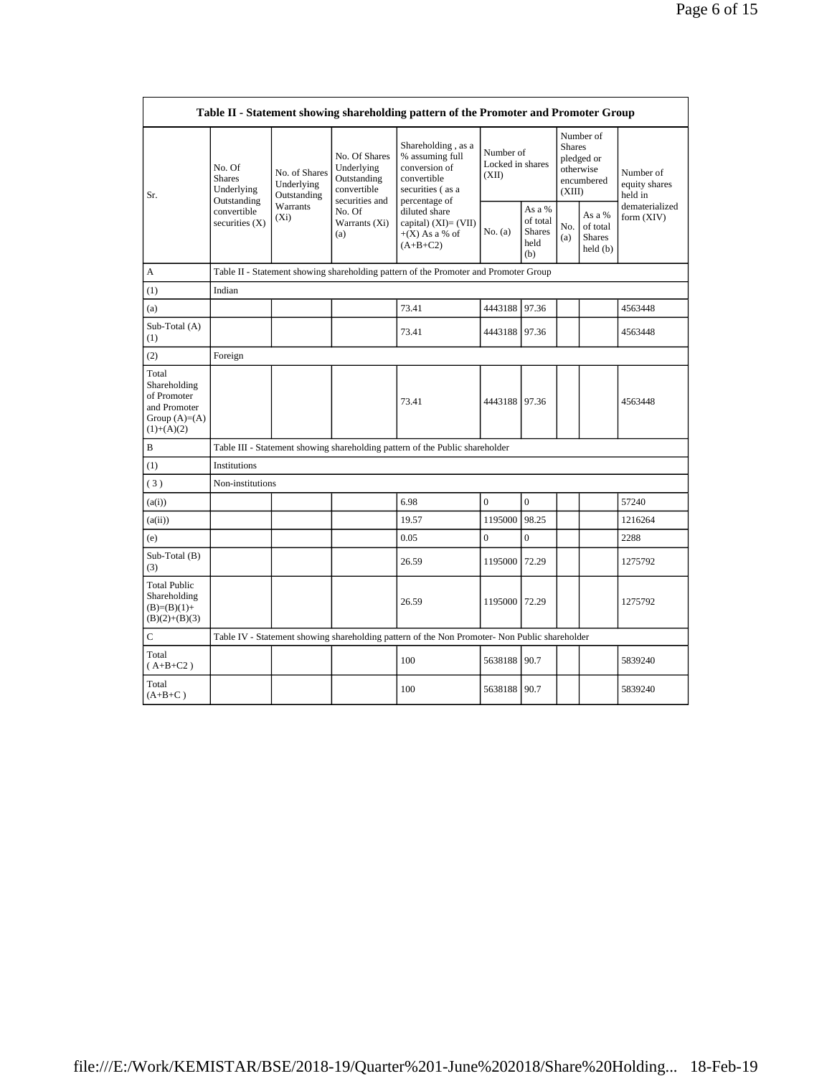|                                                                                         | Table II - Statement showing shareholding pattern of the Promoter and Promoter Group          |                                                                                      |                                                                                                               |                                                                                                            |                                        |                                                    |                                                                               |                                                |                                                         |  |  |
|-----------------------------------------------------------------------------------------|-----------------------------------------------------------------------------------------------|--------------------------------------------------------------------------------------|---------------------------------------------------------------------------------------------------------------|------------------------------------------------------------------------------------------------------------|----------------------------------------|----------------------------------------------------|-------------------------------------------------------------------------------|------------------------------------------------|---------------------------------------------------------|--|--|
| Sr.                                                                                     | No. Of<br><b>Shares</b><br>Underlying<br>Outstanding<br>convertible<br>securities (X)         | No. of Shares<br>Underlying<br>Outstanding                                           | No. Of Shares<br>Underlying<br>Outstanding<br>convertible<br>securities and<br>No. Of<br>Warrants (Xi)<br>(a) | Shareholding, as a<br>% assuming full<br>conversion of<br>convertible<br>securities (as a<br>percentage of | Number of<br>Locked in shares<br>(XII) |                                                    | Number of<br><b>Shares</b><br>pledged or<br>otherwise<br>encumbered<br>(XIII) |                                                | Number of<br>equity shares<br>held in<br>dematerialized |  |  |
|                                                                                         |                                                                                               | Warrants<br>$(X_i)$                                                                  |                                                                                                               | diluted share<br>capital) $(XI) = (VII)$<br>$+(X)$ As a % of<br>$(A+B+C2)$                                 | No. (a)                                | As a %<br>of total<br><b>Shares</b><br>held<br>(b) | No.<br>(a)                                                                    | As a %<br>of total<br><b>Shares</b><br>held(b) | form (XIV)                                              |  |  |
| А                                                                                       |                                                                                               | Table II - Statement showing shareholding pattern of the Promoter and Promoter Group |                                                                                                               |                                                                                                            |                                        |                                                    |                                                                               |                                                |                                                         |  |  |
| (1)                                                                                     | Indian                                                                                        |                                                                                      |                                                                                                               |                                                                                                            |                                        |                                                    |                                                                               |                                                |                                                         |  |  |
| (a)                                                                                     |                                                                                               |                                                                                      |                                                                                                               | 73.41                                                                                                      | 4443188                                | 97.36                                              |                                                                               |                                                | 4563448                                                 |  |  |
| Sub-Total (A)<br>(1)                                                                    |                                                                                               |                                                                                      |                                                                                                               | 73.41                                                                                                      | 4443188 97.36                          |                                                    |                                                                               |                                                | 4563448                                                 |  |  |
| (2)                                                                                     | Foreign                                                                                       |                                                                                      |                                                                                                               |                                                                                                            |                                        |                                                    |                                                                               |                                                |                                                         |  |  |
| Total<br>Shareholding<br>of Promoter<br>and Promoter<br>Group $(A)=(A)$<br>$(1)+(A)(2)$ |                                                                                               |                                                                                      |                                                                                                               | 73.41                                                                                                      | 4443188 97.36                          |                                                    |                                                                               |                                                | 4563448                                                 |  |  |
| $\, {\bf B}$                                                                            |                                                                                               |                                                                                      |                                                                                                               | Table III - Statement showing shareholding pattern of the Public shareholder                               |                                        |                                                    |                                                                               |                                                |                                                         |  |  |
| (1)                                                                                     | Institutions                                                                                  |                                                                                      |                                                                                                               |                                                                                                            |                                        |                                                    |                                                                               |                                                |                                                         |  |  |
| (3)                                                                                     | Non-institutions                                                                              |                                                                                      |                                                                                                               |                                                                                                            |                                        |                                                    |                                                                               |                                                |                                                         |  |  |
| (a(i))                                                                                  |                                                                                               |                                                                                      |                                                                                                               | 6.98                                                                                                       | $\overline{0}$                         | $\mathbf{0}$                                       |                                                                               |                                                | 57240                                                   |  |  |
| (a(ii))                                                                                 |                                                                                               |                                                                                      |                                                                                                               | 19.57                                                                                                      | 1195000                                | 98.25                                              |                                                                               |                                                | 1216264                                                 |  |  |
| (e)                                                                                     |                                                                                               |                                                                                      |                                                                                                               | 0.05                                                                                                       | $\overline{0}$                         | $\overline{0}$                                     |                                                                               |                                                | 2288                                                    |  |  |
| Sub-Total (B)<br>(3)                                                                    |                                                                                               |                                                                                      |                                                                                                               | 26.59                                                                                                      | 1195000                                | 72.29                                              |                                                                               |                                                | 1275792                                                 |  |  |
| <b>Total Public</b><br>Shareholding<br>$(B)=(B)(1)+$<br>$(B)(2)+(B)(3)$                 |                                                                                               |                                                                                      |                                                                                                               | 26.59                                                                                                      | 1195000 72.29                          |                                                    |                                                                               |                                                | 1275792                                                 |  |  |
| $\mathbf C$                                                                             | Table IV - Statement showing shareholding pattern of the Non Promoter- Non Public shareholder |                                                                                      |                                                                                                               |                                                                                                            |                                        |                                                    |                                                                               |                                                |                                                         |  |  |
| Total<br>$(A+B+C2)$                                                                     |                                                                                               |                                                                                      |                                                                                                               | 100                                                                                                        | 5638188                                | 90.7                                               |                                                                               |                                                | 5839240                                                 |  |  |
| Total<br>$(A+B+C)$                                                                      |                                                                                               |                                                                                      |                                                                                                               | 100                                                                                                        | 5638188 90.7                           |                                                    |                                                                               |                                                | 5839240                                                 |  |  |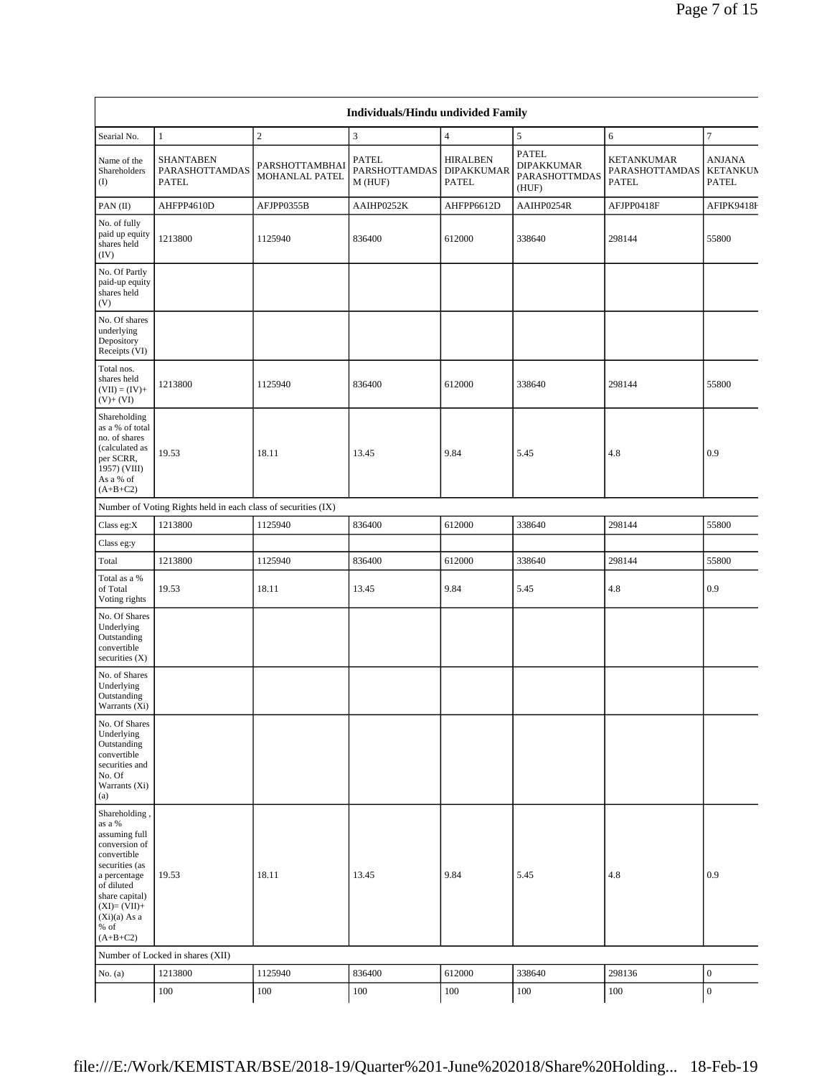|                                                                                                                                                                                         |                                                               |                                  | <b>Individuals/Hindu undivided Family</b>       |                                                      |                                                             |                                              |                                                  |
|-----------------------------------------------------------------------------------------------------------------------------------------------------------------------------------------|---------------------------------------------------------------|----------------------------------|-------------------------------------------------|------------------------------------------------------|-------------------------------------------------------------|----------------------------------------------|--------------------------------------------------|
| Searial No.                                                                                                                                                                             | $\mathbf{1}$                                                  | $\sqrt{2}$                       | $\mathfrak z$                                   | $\overline{4}$                                       | 5                                                           | 6                                            | $\overline{7}$                                   |
| Name of the<br>Shareholders<br>$($ I                                                                                                                                                    | <b>SHANTABEN</b><br>PARASHOTTAMDAS<br><b>PATEL</b>            | PARSHOTTAMBHAI<br>MOHANLAL PATEL | <b>PATEL</b><br><b>PARSHOTTAMDAS</b><br>M (HUF) | <b>HIRALBEN</b><br><b>DIPAKKUMAR</b><br><b>PATEL</b> | <b>PATEL</b><br><b>DIPAKKUMAR</b><br>PARASHOTTMDAS<br>(HUF) | KETANKUMAR<br>PARASHOTTAMDAS<br><b>PATEL</b> | <b>ANJANA</b><br><b>KETANKUM</b><br><b>PATEL</b> |
| PAN(II)                                                                                                                                                                                 | AHFPP4610D                                                    | AFJPP0355B                       | AAIHP0252K                                      | AHFPP6612D                                           | AAIHP0254R                                                  | AFJPP0418F                                   | AFIPK9418F                                       |
| No. of fully<br>paid up equity<br>shares held<br>(IV)                                                                                                                                   | 1213800                                                       | 1125940                          | 836400                                          | 612000                                               | 338640                                                      | 298144                                       | 55800                                            |
| No. Of Partly<br>paid-up equity<br>shares held<br>(V)                                                                                                                                   |                                                               |                                  |                                                 |                                                      |                                                             |                                              |                                                  |
| No. Of shares<br>underlying<br>Depository<br>Receipts (VI)                                                                                                                              |                                                               |                                  |                                                 |                                                      |                                                             |                                              |                                                  |
| Total nos.<br>shares held<br>$(VII) = (IV) +$<br>$(V)$ + $(VI)$                                                                                                                         | 1213800                                                       | 1125940                          | 836400                                          | 612000                                               | 338640                                                      | 298144                                       | 55800                                            |
| Shareholding<br>as a % of total<br>no. of shares<br>(calculated as<br>per SCRR,<br>1957) (VIII)<br>As a % of<br>$(A+B+C2)$                                                              | 19.53                                                         | 18.11                            | 13.45                                           | 9.84                                                 | 5.45                                                        | 4.8                                          | 0.9                                              |
|                                                                                                                                                                                         | Number of Voting Rights held in each class of securities (IX) |                                  |                                                 |                                                      |                                                             |                                              |                                                  |
| Class eg:X                                                                                                                                                                              | 1213800                                                       | 1125940                          | 836400                                          | 612000                                               | 338640                                                      | 298144                                       | 55800                                            |
| Class eg:y                                                                                                                                                                              |                                                               |                                  |                                                 |                                                      |                                                             |                                              |                                                  |
| Total                                                                                                                                                                                   | 1213800                                                       | 1125940                          | 836400                                          | 612000                                               | 338640                                                      | 298144                                       | 55800                                            |
| Total as a %<br>of Total<br>Voting rights                                                                                                                                               | 19.53                                                         | 18.11                            | 13.45                                           | 9.84                                                 | 5.45                                                        | 4.8                                          | 0.9                                              |
| No. Of Shares<br>Underlying<br>Outstanding<br>convertible<br>securities (X)                                                                                                             |                                                               |                                  |                                                 |                                                      |                                                             |                                              |                                                  |
| No. of Shares<br>Underlying<br>Outstanding<br>Warrants (Xi)                                                                                                                             |                                                               |                                  |                                                 |                                                      |                                                             |                                              |                                                  |
| No. Of Shares<br>Underlying<br>Outstanding<br>convertible<br>securities and<br>No. Of<br>Warrants (Xi)<br>(a)                                                                           |                                                               |                                  |                                                 |                                                      |                                                             |                                              |                                                  |
| Shareholding,<br>as a %<br>assuming full<br>conversion of<br>convertible<br>securities (as<br>a percentage<br>of diluted<br>share capital)<br>$(XI)=(VII)+$<br>$(Xi)(a)$ As a<br>$%$ of | 19.53                                                         | 18.11                            | 13.45                                           | 9.84                                                 | 5.45                                                        | 4.8                                          | 0.9                                              |
| $(A+B+C2)$                                                                                                                                                                              |                                                               |                                  |                                                 |                                                      |                                                             |                                              |                                                  |
| No. $(a)$                                                                                                                                                                               | Number of Locked in shares (XII)<br>1213800                   | 1125940                          | 836400                                          | 612000                                               | 338640                                                      | 298136                                       | $\boldsymbol{0}$                                 |
|                                                                                                                                                                                         | 100                                                           | 100                              | 100                                             | 100                                                  | 100                                                         | 100                                          | $\boldsymbol{0}$                                 |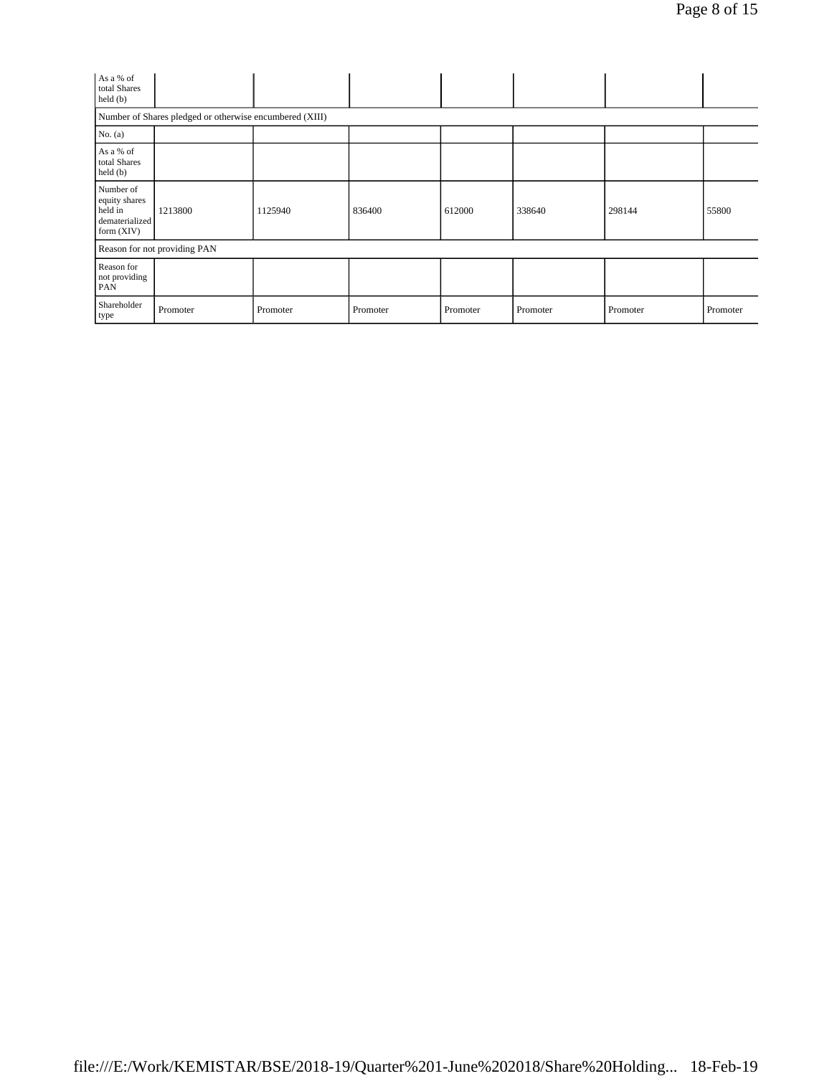| As a % of<br>total Shares<br>held (b)                                   |                              |          |          |          |          |          |          |  |  |
|-------------------------------------------------------------------------|------------------------------|----------|----------|----------|----------|----------|----------|--|--|
| Number of Shares pledged or otherwise encumbered (XIII)                 |                              |          |          |          |          |          |          |  |  |
| No. (a)                                                                 |                              |          |          |          |          |          |          |  |  |
| As a % of<br>total Shares<br>held (b)                                   |                              |          |          |          |          |          |          |  |  |
| Number of<br>equity shares<br>held in<br>dematerialized<br>form $(XIV)$ | 1213800                      | 1125940  | 836400   | 612000   | 338640   | 298144   | 55800    |  |  |
|                                                                         | Reason for not providing PAN |          |          |          |          |          |          |  |  |
| Reason for<br>not providing<br>PAN                                      |                              |          |          |          |          |          |          |  |  |
| Shareholder<br>type                                                     | Promoter                     | Promoter | Promoter | Promoter | Promoter | Promoter | Promoter |  |  |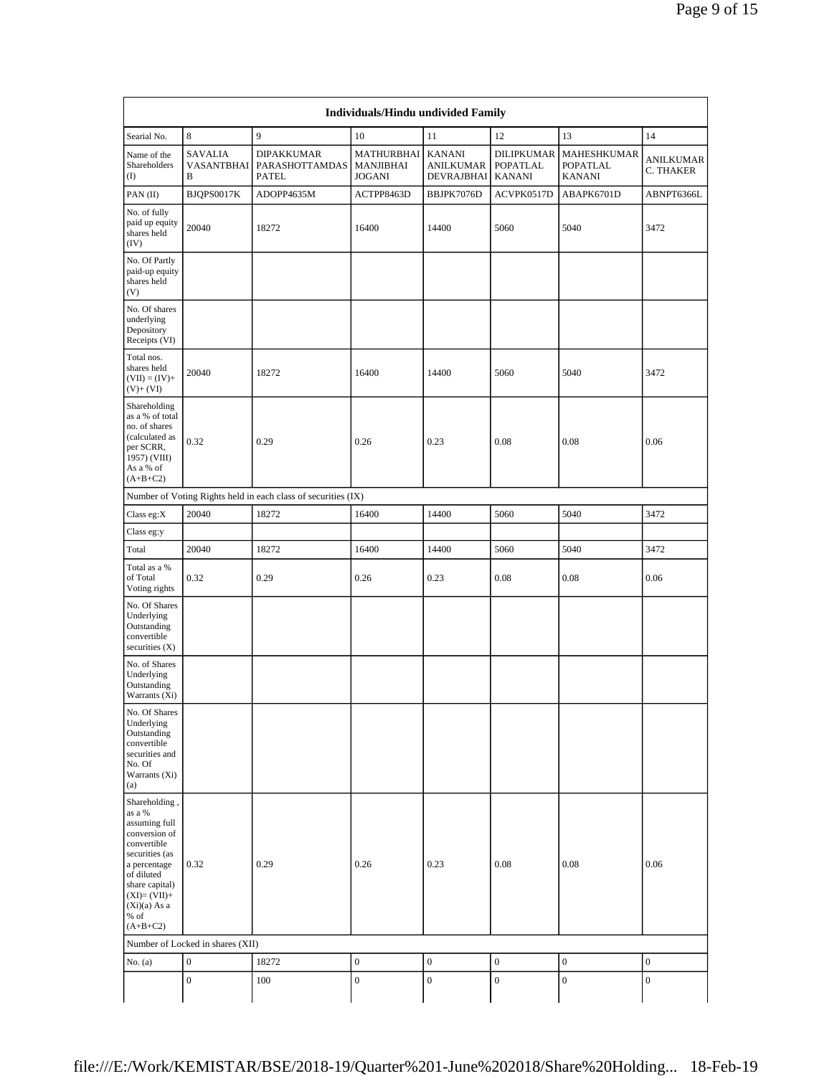| Searial No.<br>Name of the<br>Shareholders<br>$($ I<br>PAN(II)<br>No. of fully<br>paid up equity<br>shares held<br>(IV)<br>No. Of Partly<br>paid-up equity<br>shares held<br>(V)<br>No. Of shares<br>underlying<br>Depository<br>Receipts (VI) | 8<br><b>SAVALIA</b><br>VASANTBHAI<br>B<br>BJQPS0017K<br>20040 | 9<br><b>DIPAKKUMAR</b><br><b>PARASHOTTAMDAS</b><br><b>PATEL</b><br>ADOPP4635M<br>18272 | 10<br>MATHURBHAI<br><b>MANJIBHAI</b><br><b>JOGANI</b><br>ACTPP8463D | 11<br><b>KANANI</b><br><b>ANILKUMAR</b><br><b>DEVRAJBHAI</b> | 12<br><b>DILIPKUMAR</b>          | 13<br>MAHESHKUMAR                | 14                            |
|------------------------------------------------------------------------------------------------------------------------------------------------------------------------------------------------------------------------------------------------|---------------------------------------------------------------|----------------------------------------------------------------------------------------|---------------------------------------------------------------------|--------------------------------------------------------------|----------------------------------|----------------------------------|-------------------------------|
|                                                                                                                                                                                                                                                |                                                               |                                                                                        |                                                                     |                                                              |                                  |                                  |                               |
|                                                                                                                                                                                                                                                |                                                               |                                                                                        |                                                                     |                                                              | <b>POPATLAL</b><br><b>KANANI</b> | <b>POPATLAL</b><br><b>KANANI</b> | <b>ANILKUMAR</b><br>C. THAKER |
|                                                                                                                                                                                                                                                |                                                               |                                                                                        |                                                                     | BBJPK7076D                                                   | ACVPK0517D                       | ABAPK6701D                       | ABNPT6366L                    |
|                                                                                                                                                                                                                                                |                                                               |                                                                                        | 16400                                                               | 14400                                                        | 5060                             | 5040                             | 3472                          |
|                                                                                                                                                                                                                                                |                                                               |                                                                                        |                                                                     |                                                              |                                  |                                  |                               |
|                                                                                                                                                                                                                                                |                                                               |                                                                                        |                                                                     |                                                              |                                  |                                  |                               |
| Total nos.<br>shares held<br>$(VII) = (IV) +$<br>$(V)+(VI)$                                                                                                                                                                                    | 20040                                                         | 18272                                                                                  | 16400                                                               | 14400                                                        | 5060                             | 5040                             | 3472                          |
| Shareholding<br>as a % of total<br>no. of shares<br>(calculated as<br>per SCRR,<br>1957) (VIII)<br>As a % of<br>$(A+B+C2)$                                                                                                                     | 0.32                                                          | 0.29                                                                                   | 0.26                                                                | 0.23                                                         | 0.08                             | 0.08                             | 0.06                          |
|                                                                                                                                                                                                                                                |                                                               | Number of Voting Rights held in each class of securities (IX)                          |                                                                     |                                                              |                                  |                                  |                               |
| Class eg:X                                                                                                                                                                                                                                     | 20040                                                         | 18272                                                                                  | 16400                                                               | 14400                                                        | 5060                             | 5040                             | 3472                          |
| Class eg:y                                                                                                                                                                                                                                     |                                                               |                                                                                        |                                                                     |                                                              |                                  |                                  |                               |
| Total                                                                                                                                                                                                                                          | 20040                                                         | 18272                                                                                  | 16400                                                               | 14400                                                        | 5060                             | 5040                             | 3472                          |
| Total as a %<br>of Total<br>Voting rights                                                                                                                                                                                                      | 0.32                                                          | 0.29                                                                                   | 0.26                                                                | 0.23                                                         | 0.08                             | 0.08                             | 0.06                          |
| No. Of Shares<br>Underlying<br>Outstanding<br>convertible<br>securities (X)                                                                                                                                                                    |                                                               |                                                                                        |                                                                     |                                                              |                                  |                                  |                               |
| No. of Shares<br>Underlying<br>Outstanding<br>Warrants (Xi)                                                                                                                                                                                    |                                                               |                                                                                        |                                                                     |                                                              |                                  |                                  |                               |
| No. Of Shares<br>Underlying<br>Outstanding<br>convertible<br>securities and<br>No. Of<br>Warrants (Xi)<br>(a)                                                                                                                                  |                                                               |                                                                                        |                                                                     |                                                              |                                  |                                  |                               |
| Shareholding,<br>as a %<br>assuming full<br>conversion of<br>convertible<br>securities (as<br>a percentage<br>of diluted<br>share capital)<br>$(XI)=(VII)+$<br>$(Xi)(a)$ As a<br>% of                                                          | 0.32                                                          | 0.29                                                                                   | 0.26                                                                | 0.23                                                         | 0.08                             | 0.08                             | 0.06                          |
| $(A+B+C2)$                                                                                                                                                                                                                                     |                                                               |                                                                                        |                                                                     |                                                              |                                  |                                  |                               |
|                                                                                                                                                                                                                                                | Number of Locked in shares (XII)<br>$\boldsymbol{0}$          | 18272                                                                                  | $\boldsymbol{0}$                                                    | $\boldsymbol{0}$                                             | $\boldsymbol{0}$                 | $\mathbf{0}$                     | $\boldsymbol{0}$              |
| No. (a)                                                                                                                                                                                                                                        |                                                               |                                                                                        |                                                                     |                                                              |                                  |                                  |                               |
|                                                                                                                                                                                                                                                | $\boldsymbol{0}$                                              | 100                                                                                    | $\boldsymbol{0}$                                                    | $\boldsymbol{0}$                                             | $\boldsymbol{0}$                 | $\boldsymbol{0}$                 | $\boldsymbol{0}$              |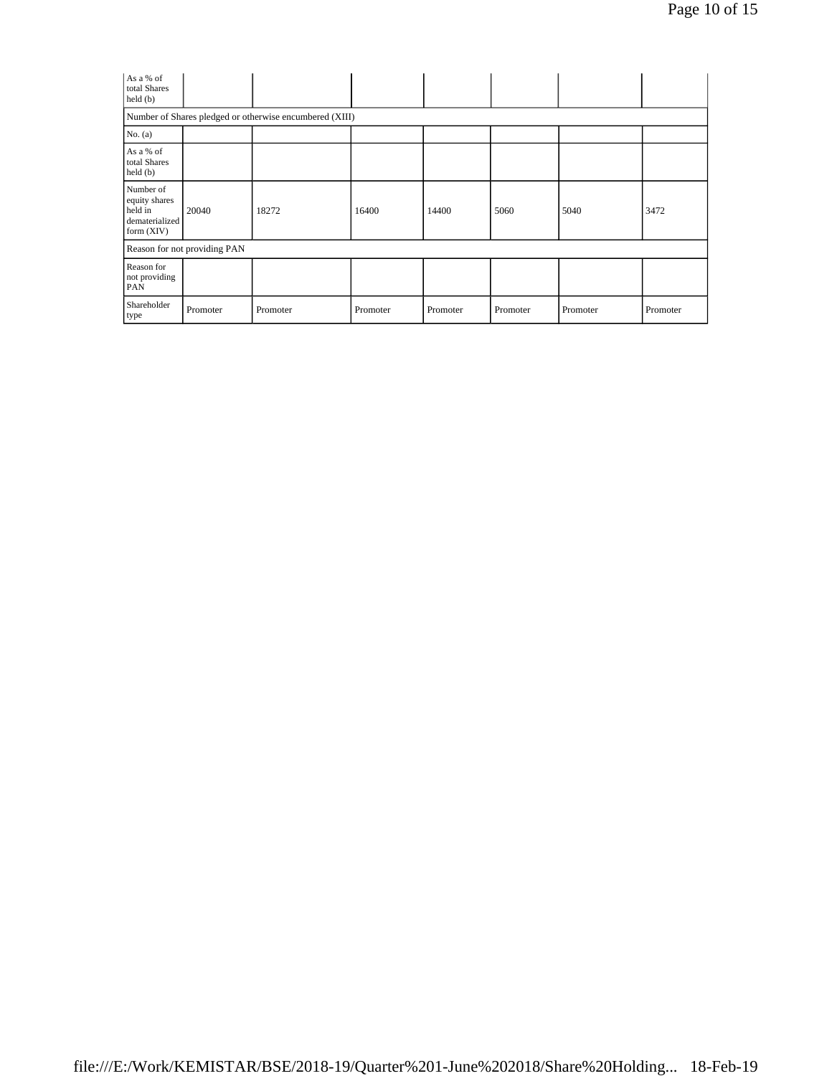| As a % of<br>total Shares<br>held(b)                                  |                              |          |          |          |          |          |          |  |  |
|-----------------------------------------------------------------------|------------------------------|----------|----------|----------|----------|----------|----------|--|--|
| Number of Shares pledged or otherwise encumbered (XIII)               |                              |          |          |          |          |          |          |  |  |
| No. $(a)$                                                             |                              |          |          |          |          |          |          |  |  |
| As a % of<br>total Shares<br>held (b)                                 |                              |          |          |          |          |          |          |  |  |
| Number of<br>equity shares<br>held in<br>dematerialized<br>form (XIV) | 20040                        | 18272    | 16400    | 14400    | 5060     | 5040     | 3472     |  |  |
|                                                                       | Reason for not providing PAN |          |          |          |          |          |          |  |  |
| Reason for<br>not providing<br><b>PAN</b>                             |                              |          |          |          |          |          |          |  |  |
| Shareholder<br>type                                                   | Promoter                     | Promoter | Promoter | Promoter | Promoter | Promoter | Promoter |  |  |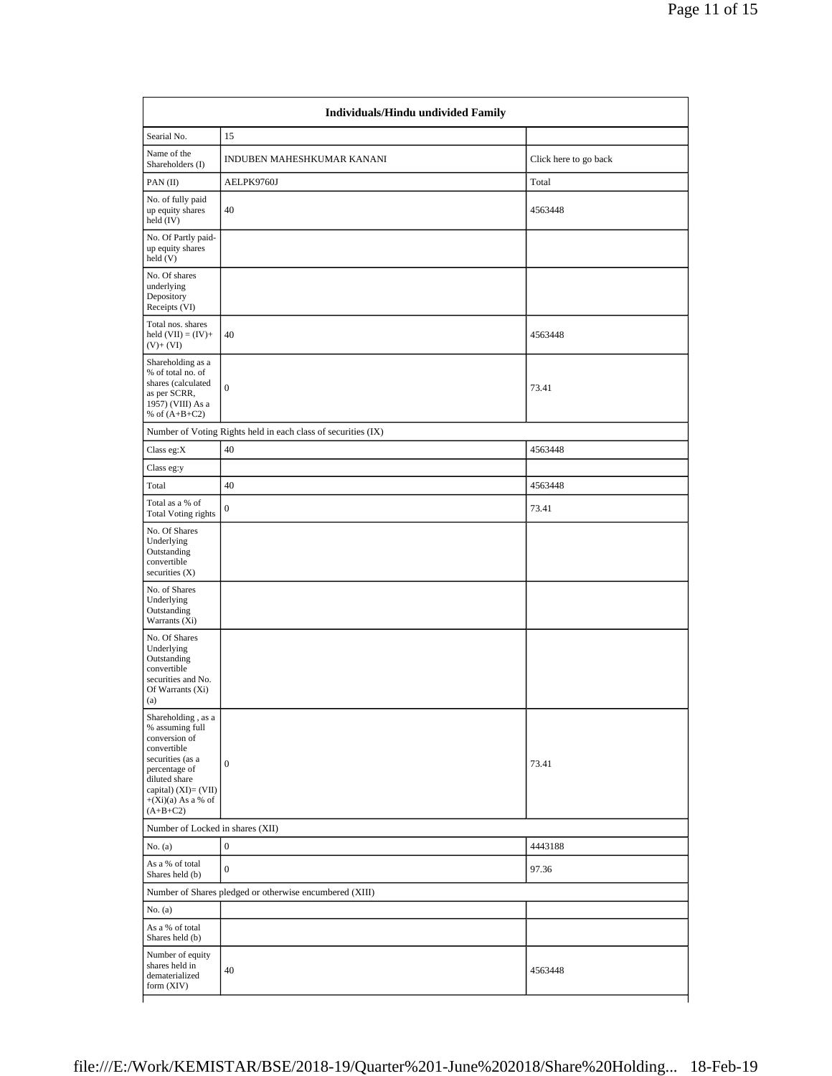|                                                                                                                                                                                           | Individuals/Hindu undivided Family                            |                       |
|-------------------------------------------------------------------------------------------------------------------------------------------------------------------------------------------|---------------------------------------------------------------|-----------------------|
| Searial No.                                                                                                                                                                               | 15                                                            |                       |
| Name of the<br>Shareholders (I)                                                                                                                                                           | INDUBEN MAHESHKUMAR KANANI                                    | Click here to go back |
| PAN(II)                                                                                                                                                                                   | AELPK9760J                                                    | Total                 |
| No. of fully paid<br>up equity shares<br>held (IV)                                                                                                                                        | 40                                                            | 4563448               |
| No. Of Partly paid-<br>up equity shares<br>held (V)                                                                                                                                       |                                                               |                       |
| No. Of shares<br>underlying<br>Depository<br>Receipts (VI)                                                                                                                                |                                                               |                       |
| Total nos. shares<br>held $(VII) = (IV) +$<br>$(V)+(VI)$                                                                                                                                  | 40                                                            | 4563448               |
| Shareholding as a<br>% of total no. of<br>shares (calculated<br>as per SCRR,<br>1957) (VIII) As a<br>% of $(A+B+C2)$                                                                      | $\boldsymbol{0}$                                              | 73.41                 |
|                                                                                                                                                                                           | Number of Voting Rights held in each class of securities (IX) |                       |
| Class eg:X                                                                                                                                                                                | 40                                                            | 4563448               |
| Class eg:y                                                                                                                                                                                |                                                               |                       |
| Total                                                                                                                                                                                     | 40                                                            | 4563448               |
| Total as a % of<br><b>Total Voting rights</b>                                                                                                                                             | $\boldsymbol{0}$                                              | 73.41                 |
| No. Of Shares<br>Underlying<br>Outstanding<br>convertible<br>securities $(X)$                                                                                                             |                                                               |                       |
| No. of Shares<br>Underlying<br>Outstanding<br>Warrants (Xi)                                                                                                                               |                                                               |                       |
| No. Of Shares<br>Underlying<br>Outstanding<br>convertible<br>securities and No.<br>Of Warrants (Xi)<br>(a)                                                                                |                                                               |                       |
| Shareholding, as a<br>% assuming full<br>conversion of<br>convertible<br>securities (as a<br>percentage of<br>diluted share<br>capital) (XI)= (VII)<br>$+(Xi)(a)$ As a % of<br>$(A+B+C2)$ | $\boldsymbol{0}$                                              | 73.41                 |
| Number of Locked in shares (XII)                                                                                                                                                          |                                                               |                       |
| No. $(a)$                                                                                                                                                                                 | $\boldsymbol{0}$                                              | 4443188               |
| As a % of total<br>Shares held (b)                                                                                                                                                        | $\boldsymbol{0}$                                              | 97.36                 |
|                                                                                                                                                                                           | Number of Shares pledged or otherwise encumbered (XIII)       |                       |
| No. $(a)$                                                                                                                                                                                 |                                                               |                       |
| As a % of total<br>Shares held (b)                                                                                                                                                        |                                                               |                       |
| Number of equity<br>shares held in<br>dematerialized<br>form (XIV)                                                                                                                        | 40                                                            | 4563448               |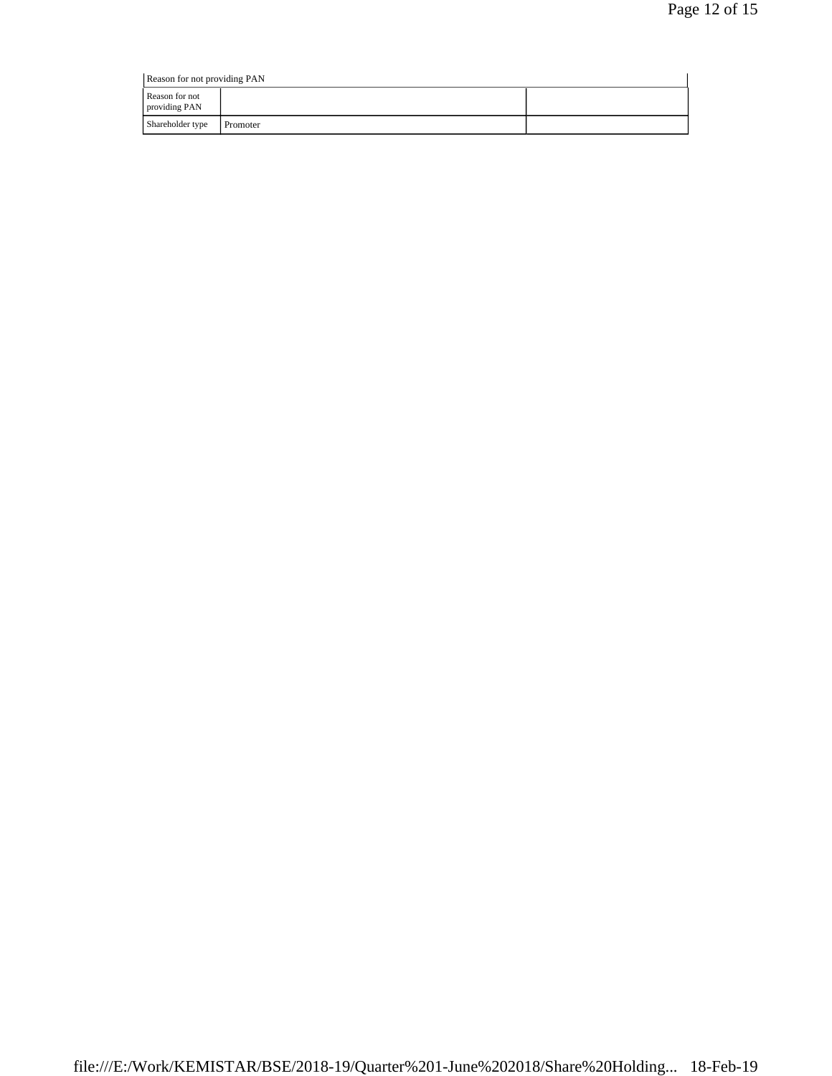|                                 | Reason for not providing PAN |  |  |  |  |  |  |  |
|---------------------------------|------------------------------|--|--|--|--|--|--|--|
| Reason for not<br>providing PAN |                              |  |  |  |  |  |  |  |
| Shareholder type                | Promoter                     |  |  |  |  |  |  |  |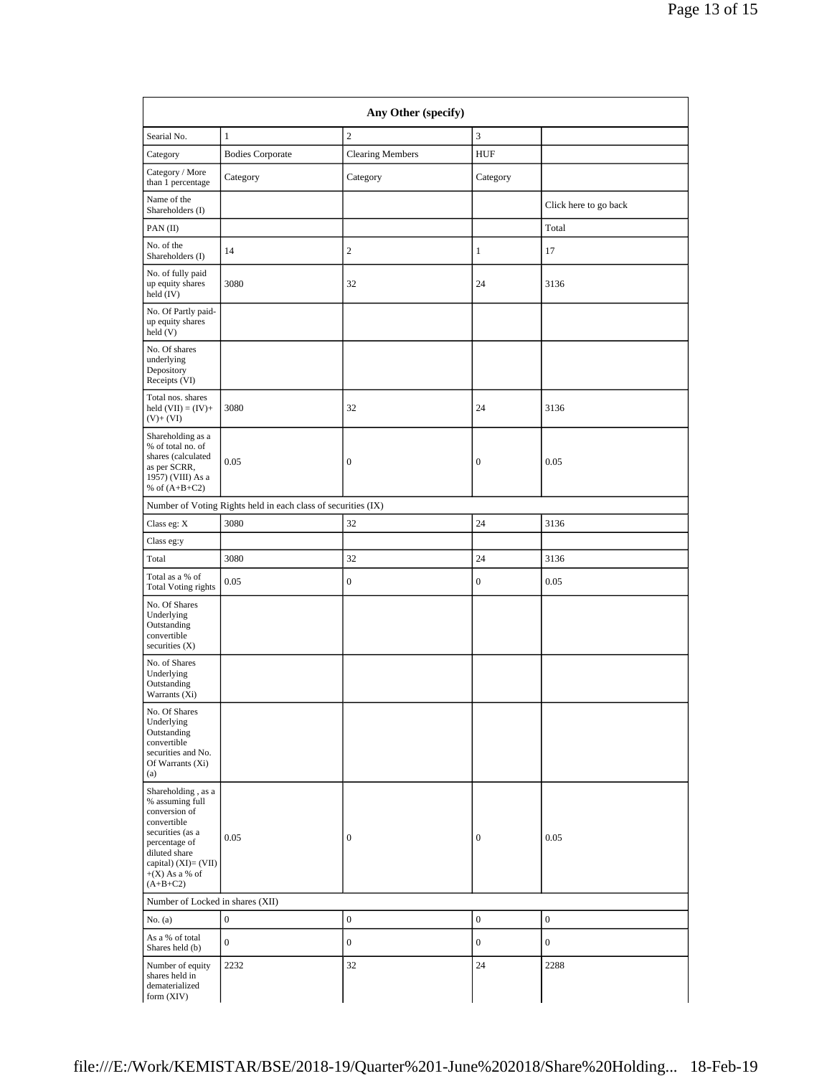| Any Other (specify)                                                                                                                                                                      |                                                               |                         |                  |                       |  |  |  |
|------------------------------------------------------------------------------------------------------------------------------------------------------------------------------------------|---------------------------------------------------------------|-------------------------|------------------|-----------------------|--|--|--|
| Searial No.                                                                                                                                                                              | $\mathbf{1}$                                                  | $\sqrt{2}$              | 3                |                       |  |  |  |
| Category                                                                                                                                                                                 | <b>Bodies Corporate</b>                                       | <b>Clearing Members</b> | <b>HUF</b>       |                       |  |  |  |
| Category / More<br>than 1 percentage                                                                                                                                                     | Category                                                      | Category                | Category         |                       |  |  |  |
| Name of the<br>Shareholders (I)                                                                                                                                                          |                                                               |                         |                  | Click here to go back |  |  |  |
| PAN (II)                                                                                                                                                                                 |                                                               |                         |                  | Total                 |  |  |  |
| No. of the<br>Shareholders (I)                                                                                                                                                           | 14                                                            | $\mathbf{2}$            | 1                | 17                    |  |  |  |
| No. of fully paid<br>up equity shares<br>held $(IV)$                                                                                                                                     | 3080                                                          | 32                      | 24               | 3136                  |  |  |  |
| No. Of Partly paid-<br>up equity shares<br>held(V)                                                                                                                                       |                                                               |                         |                  |                       |  |  |  |
| No. Of shares<br>underlying<br>Depository<br>Receipts (VI)                                                                                                                               |                                                               |                         |                  |                       |  |  |  |
| Total nos. shares<br>held $(VII) = (IV) +$<br>$(V)+(VI)$                                                                                                                                 | 3080                                                          | 32                      | 24               | 3136                  |  |  |  |
| Shareholding as a<br>% of total no. of<br>shares (calculated<br>as per SCRR,<br>1957) (VIII) As a<br>% of $(A+B+C2)$                                                                     | 0.05                                                          | $\boldsymbol{0}$        | 0                | 0.05                  |  |  |  |
|                                                                                                                                                                                          | Number of Voting Rights held in each class of securities (IX) |                         |                  |                       |  |  |  |
| Class eg: X                                                                                                                                                                              | 3080                                                          | 32                      | 24               | 3136                  |  |  |  |
| Class eg:y                                                                                                                                                                               |                                                               |                         |                  |                       |  |  |  |
| Total                                                                                                                                                                                    | 3080                                                          | 32                      | 24               | 3136                  |  |  |  |
| Total as a % of<br><b>Total Voting rights</b>                                                                                                                                            | 0.05                                                          | $\boldsymbol{0}$        | $\boldsymbol{0}$ | 0.05                  |  |  |  |
| No. Of Shares<br>Underlying<br>Outstanding<br>convertible<br>securities $(X)$                                                                                                            |                                                               |                         |                  |                       |  |  |  |
| No. of Shares<br>Underlying<br>Outstanding<br>Warrants (Xi)                                                                                                                              |                                                               |                         |                  |                       |  |  |  |
| No. Of Shares<br>Underlying<br>Outstanding<br>convertible<br>securities and No.<br>Of Warrants (Xi)<br>(a)                                                                               |                                                               |                         |                  |                       |  |  |  |
| Shareholding, as a<br>% assuming full<br>conversion of<br>convertible<br>securities (as a<br>percentage of<br>diluted share<br>capital) $(XI) = (VII)$<br>$+(X)$ As a % of<br>$(A+B+C2)$ | 0.05                                                          | $\boldsymbol{0}$        | $\boldsymbol{0}$ | 0.05                  |  |  |  |
| Number of Locked in shares (XII)                                                                                                                                                         |                                                               |                         |                  |                       |  |  |  |
| No. $(a)$                                                                                                                                                                                | $\boldsymbol{0}$                                              | $\boldsymbol{0}$        | $\boldsymbol{0}$ | $\boldsymbol{0}$      |  |  |  |
| As a % of total<br>Shares held (b)                                                                                                                                                       | $\boldsymbol{0}$                                              | $\boldsymbol{0}$        | $\boldsymbol{0}$ | $\boldsymbol{0}$      |  |  |  |
| Number of equity<br>shares held in<br>dematerialized<br>form (XIV)                                                                                                                       | 2232                                                          | 32                      | 24               | 2288                  |  |  |  |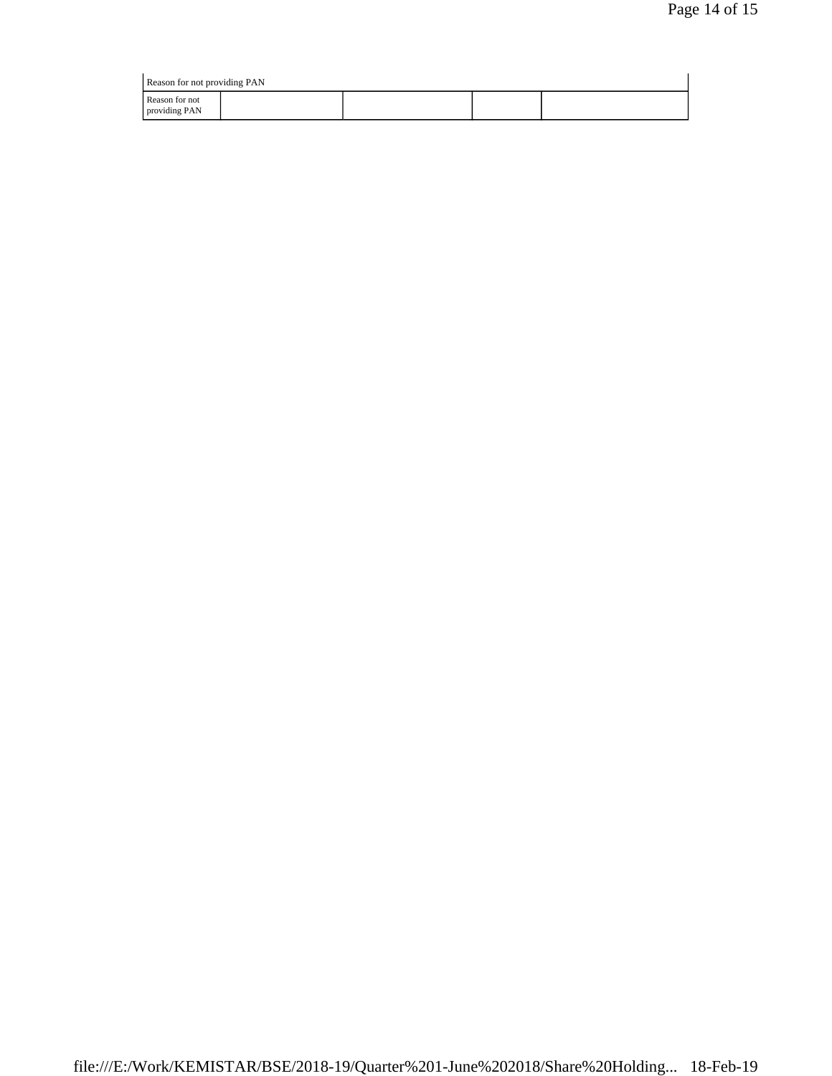| Reason for not providing PAN    |  |  |  |  |  |  |
|---------------------------------|--|--|--|--|--|--|
| Reason for not<br>providing PAN |  |  |  |  |  |  |